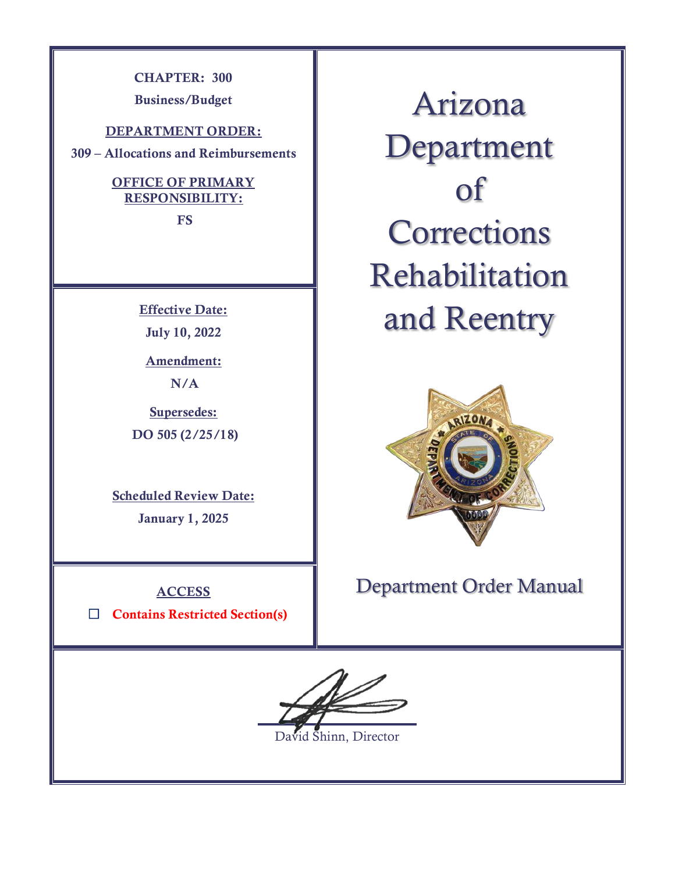**CHAPTER: 300**

**Business/Budget**

**DEPARTMENT ORDER:**

**309 – Allocations and Reimbursements**

### **OFFICE OF PRIMARY RESPONSIBILITY:**

**FS**

**Effective Date: July 10, 2022**

**Amendment: N/A**

**Supersedes: DO 505 (2/25/18)** 

**Scheduled Review Date:** 

**January 1, 2025**

**ACCESS**

☐ **Contains Restricted Section(s)**

Arizona Department of **Corrections** Rehabilitation and Reentry



Department Order Manual

 $\overline{a}$ 

David Shinn, Director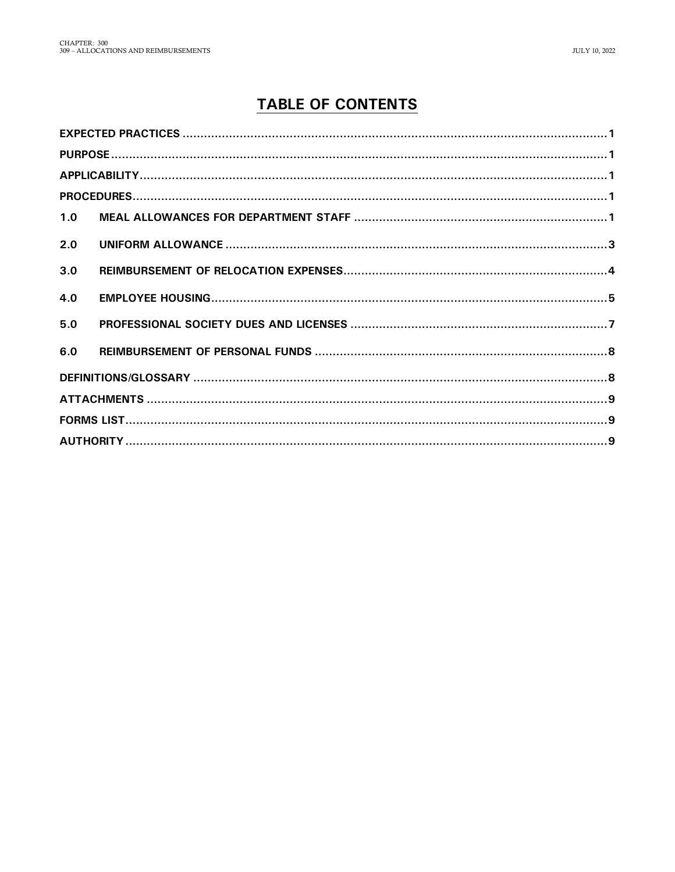# **TABLE OF CONTENTS**

| 1.0 |  |  |  |  |  |  |
|-----|--|--|--|--|--|--|
| 2.0 |  |  |  |  |  |  |
| 3.0 |  |  |  |  |  |  |
| 4.0 |  |  |  |  |  |  |
| 5.0 |  |  |  |  |  |  |
| 6.0 |  |  |  |  |  |  |
|     |  |  |  |  |  |  |
|     |  |  |  |  |  |  |
|     |  |  |  |  |  |  |
|     |  |  |  |  |  |  |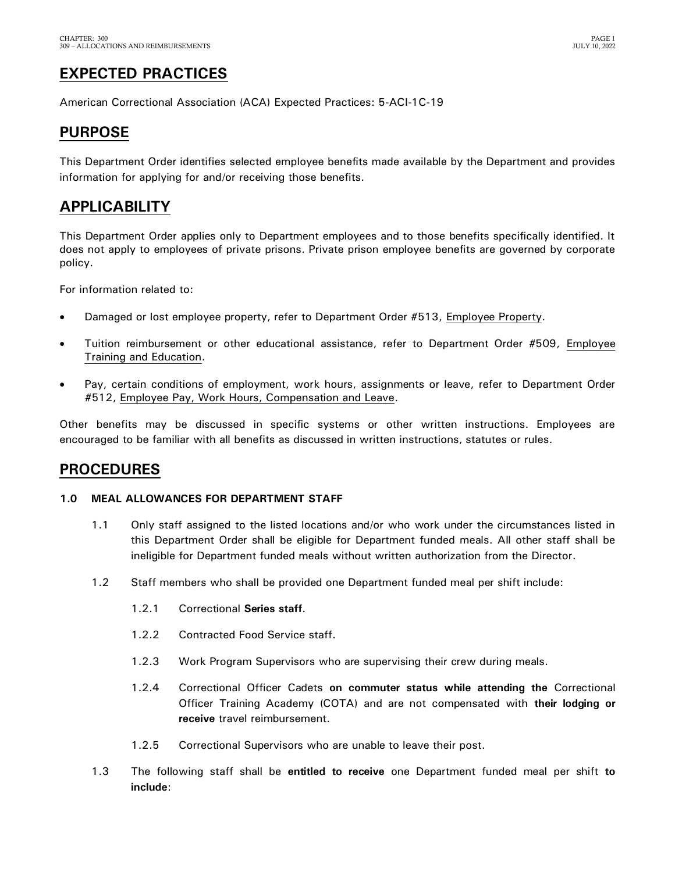## <span id="page-2-0"></span>**EXPECTED PRACTICES**

American Correctional Association (ACA) Expected Practices: 5-ACI-1C-19

## <span id="page-2-1"></span>**PURPOSE**

This Department Order identifies selected employee benefits made available by the Department and provides information for applying for and/or receiving those benefits.

### <span id="page-2-2"></span>**APPLICABILITY**

This Department Order applies only to Department employees and to those benefits specifically identified. It does not apply to employees of private prisons. Private prison employee benefits are governed by corporate policy.

For information related to:

- Damaged or lost employee property, refer to Department Order #513, Employee Property.
- Tuition reimbursement or other educational assistance, refer to Department Order #509, Employee Training and Education.
- Pay, certain conditions of employment, work hours, assignments or leave, refer to Department Order #512, Employee Pay, Work Hours, Compensation and Leave.

Other benefits may be discussed in specific systems or other written instructions. Employees are encouraged to be familiar with all benefits as discussed in written instructions, statutes or rules.

### <span id="page-2-3"></span>**PROCEDURES**

#### <span id="page-2-4"></span>**1.0 MEAL ALLOWANCES FOR DEPARTMENT STAFF**

- 1.1 Only staff assigned to the listed locations and/or who work under the circumstances listed in this Department Order shall be eligible for Department funded meals. All other staff shall be ineligible for Department funded meals without written authorization from the Director.
- 1.2 Staff members who shall be provided one Department funded meal per shift include:
	- 1.2.1 Correctional **Series staff**.
	- 1.2.2 Contracted Food Service staff.
	- 1.2.3 Work Program Supervisors who are supervising their crew during meals.
	- 1.2.4 Correctional Officer Cadets **on commuter status while attending the** Correctional Officer Training Academy (COTA) and are not compensated with **their lodging or receive** travel reimbursement.
	- 1.2.5 Correctional Supervisors who are unable to leave their post.
- 1.3 The following staff shall be **entitled to receive** one Department funded meal per shift **to include**: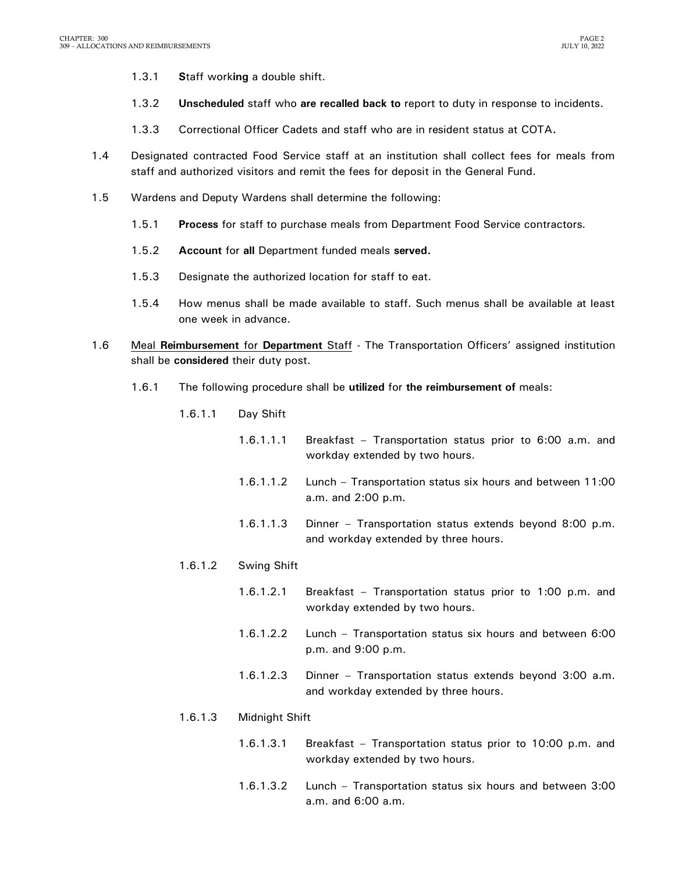- 1.3.1 **S**taff work**ing** a double shift.
- 1.3.2 **Unscheduled** staff who **are recalled back to** report to duty in response to incidents.
- 1.3.3 Correctional Officer Cadets and staff who are in resident status at COTA**.**
- 1.4 Designated contracted Food Service staff at an institution shall collect fees for meals from staff and authorized visitors and remit the fees for deposit in the General Fund.
- 1.5 Wardens and Deputy Wardens shall determine the following:
	- 1.5.1 **Process** for staff to purchase meals from Department Food Service contractors.
	- 1.5.2 **Account** for **all** Department funded meals **served.**
	- 1.5.3 Designate the authorized location for staff to eat.
	- 1.5.4 How menus shall be made available to staff. Such menus shall be available at least one week in advance.
- 1.6 Meal **Reimbursement** for **Department** Staff The Transportation Officers' assigned institution shall be **considered** their duty post.
	- 1.6.1 The following procedure shall be **utilized** for **the reimbursement of** meals:
		- 1.6.1.1 Day Shift
			- 1.6.1.1.1 Breakfast Transportation status prior to 6:00 a.m. and workday extended by two hours.
			- 1.6.1.1.2 Lunch Transportation status six hours and between 11:00 a.m. and 2:00 p.m.
			- 1.6.1.1.3 Dinner Transportation status extends beyond 8:00 p.m. and workday extended by three hours.
		- 1.6.1.2 Swing Shift
			- 1.6.1.2.1 Breakfast Transportation status prior to 1:00 p.m. and workday extended by two hours.
			- 1.6.1.2.2 Lunch Transportation status six hours and between 6:00 p.m. and 9:00 p.m.
			- 1.6.1.2.3 Dinner Transportation status extends beyond 3:00 a.m. and workday extended by three hours.
		- 1.6.1.3 Midnight Shift
			- 1.6.1.3.1 Breakfast Transportation status prior to 10:00 p.m. and workday extended by two hours.
			- 1.6.1.3.2 Lunch Transportation status six hours and between 3:00 a.m. and 6:00 a.m.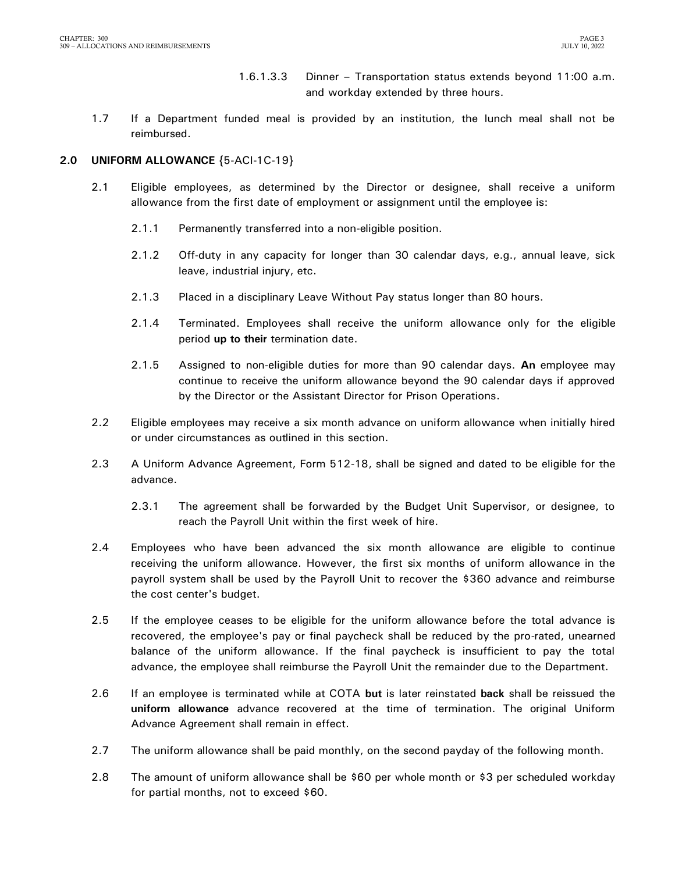1.6.1.3.3 Dinner – Transportation status extends beyond 11:00 a.m. and workday extended by three hours.

1.7 If a Department funded meal is provided by an institution, the lunch meal shall not be reimbursed.

### <span id="page-4-0"></span>**2.0 UNIFORM ALLOWANCE** {5-ACI-1C-19}

- 2.1 Eligible employees, as determined by the Director or designee, shall receive a uniform allowance from the first date of employment or assignment until the employee is:
	- 2.1.1 Permanently transferred into a non-eligible position.
	- 2.1.2 Off-duty in any capacity for longer than 30 calendar days, e.g., annual leave, sick leave, industrial injury, etc.
	- 2.1.3 Placed in a disciplinary Leave Without Pay status longer than 80 hours.
	- 2.1.4 Terminated. Employees shall receive the uniform allowance only for the eligible period **up to their** termination date.
	- 2.1.5 Assigned to non-eligible duties for more than 90 calendar days. **An** employee may continue to receive the uniform allowance beyond the 90 calendar days if approved by the Director or the Assistant Director for Prison Operations.
- 2.2 Eligible employees may receive a six month advance on uniform allowance when initially hired or under circumstances as outlined in this section.
- 2.3 A Uniform Advance Agreement, Form 512-18, shall be signed and dated to be eligible for the advance.
	- 2.3.1 The agreement shall be forwarded by the Budget Unit Supervisor, or designee, to reach the Payroll Unit within the first week of hire.
- 2.4 Employees who have been advanced the six month allowance are eligible to continue receiving the uniform allowance. However, the first six months of uniform allowance in the payroll system shall be used by the Payroll Unit to recover the \$360 advance and reimburse the cost center's budget.
- 2.5 If the employee ceases to be eligible for the uniform allowance before the total advance is recovered, the employee's pay or final paycheck shall be reduced by the pro-rated, unearned balance of the uniform allowance. If the final paycheck is insufficient to pay the total advance, the employee shall reimburse the Payroll Unit the remainder due to the Department.
- 2.6 If an employee is terminated while at COTA **but** is later reinstated **back** shall be reissued the **uniform allowance** advance recovered at the time of termination. The original Uniform Advance Agreement shall remain in effect.
- 2.7 The uniform allowance shall be paid monthly, on the second payday of the following month.
- 2.8 The amount of uniform allowance shall be \$60 per whole month or \$3 per scheduled workday for partial months, not to exceed \$60.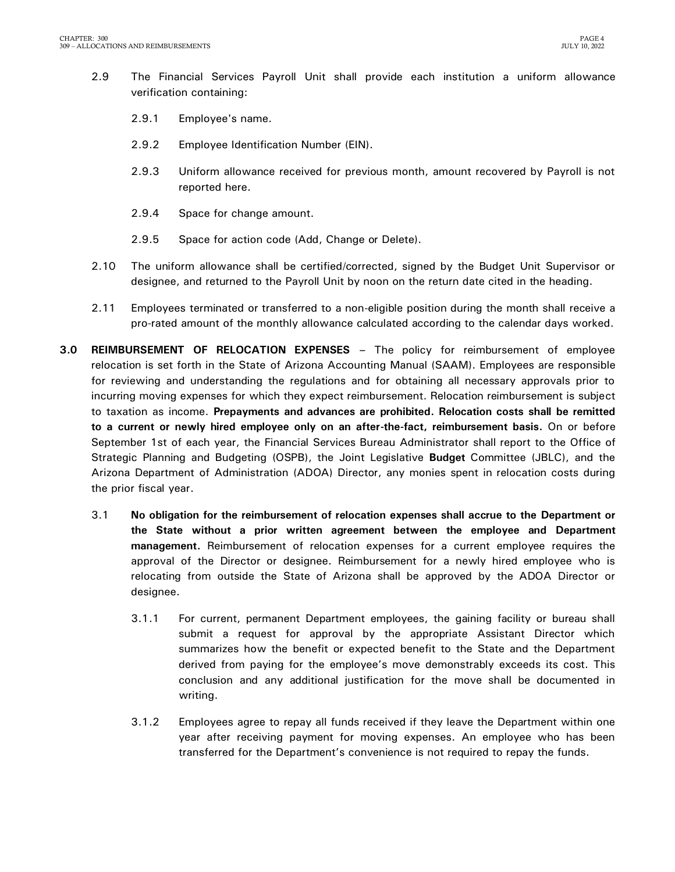- 2.9 The Financial Services Payroll Unit shall provide each institution a uniform allowance verification containing:
	- 2.9.1 Employee's name.
	- 2.9.2 Employee Identification Number (EIN).
	- 2.9.3 Uniform allowance received for previous month, amount recovered by Payroll is not reported here.
	- 2.9.4 Space for change amount.
	- 2.9.5 Space for action code (Add, Change or Delete).
- 2.10 The uniform allowance shall be certified/corrected, signed by the Budget Unit Supervisor or designee, and returned to the Payroll Unit by noon on the return date cited in the heading.
- 2.11 Employees terminated or transferred to a non-eligible position during the month shall receive a pro-rated amount of the monthly allowance calculated according to the calendar days worked.
- <span id="page-5-0"></span>**3.0 REIMBURSEMENT OF RELOCATION EXPENSES –** The policy for reimbursement of employee relocation is set forth in the State of Arizona Accounting Manual (SAAM). Employees are responsible for reviewing and understanding the regulations and for obtaining all necessary approvals prior to incurring moving expenses for which they expect reimbursement. Relocation reimbursement is subject to taxation as income. **Prepayments and advances are prohibited. Relocation costs shall be remitted to a current or newly hired employee only on an after-the-fact, reimbursement basis.** On or before September 1st of each year, the Financial Services Bureau Administrator shall report to the Office of Strategic Planning and Budgeting (OSPB), the Joint Legislative **Budget** Committee (JBLC), and the Arizona Department of Administration (ADOA) Director, any monies spent in relocation costs during the prior fiscal year.
	- 3.1 **No obligation for the reimbursement of relocation expenses shall accrue to the Department or the State without a prior written agreement between the employee and Department management.** Reimbursement of relocation expenses for a current employee requires the approval of the Director or designee. Reimbursement for a newly hired employee who is relocating from outside the State of Arizona shall be approved by the ADOA Director or designee.
		- 3.1.1 For current, permanent Department employees, the gaining facility or bureau shall submit a request for approval by the appropriate Assistant Director which summarizes how the benefit or expected benefit to the State and the Department derived from paying for the employee's move demonstrably exceeds its cost. This conclusion and any additional justification for the move shall be documented in writing.
		- 3.1.2 Employees agree to repay all funds received if they leave the Department within one year after receiving payment for moving expenses. An employee who has been transferred for the Department's convenience is not required to repay the funds.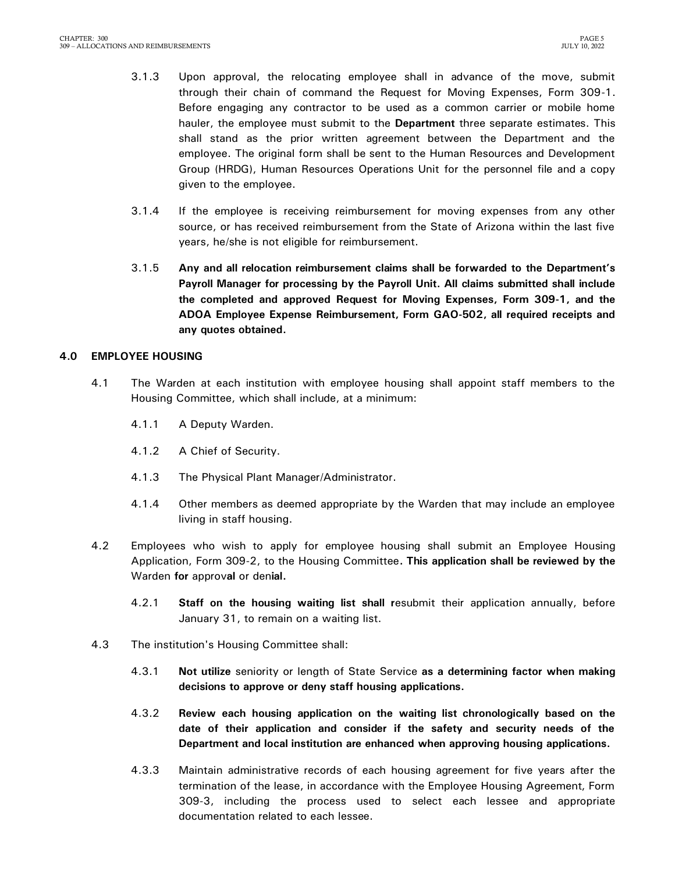- 3.1.3 Upon approval, the relocating employee shall in advance of the move, submit through their chain of command the Request for Moving Expenses, Form 309-1. Before engaging any contractor to be used as a common carrier or mobile home hauler, the employee must submit to the **Department** three separate estimates. This shall stand as the prior written agreement between the Department and the employee. The original form shall be sent to the Human Resources and Development Group (HRDG), Human Resources Operations Unit for the personnel file and a copy given to the employee.
- 3.1.4 If the employee is receiving reimbursement for moving expenses from any other source, or has received reimbursement from the State of Arizona within the last five years, he/she is not eligible for reimbursement.
- 3.1.5 **Any and all relocation reimbursement claims shall be forwarded to the Department's Payroll Manager for processing by the Payroll Unit. All claims submitted shall include the completed and approved Request for Moving Expenses, Form 309-1, and the ADOA Employee Expense Reimbursement, Form GAO-502, all required receipts and any quotes obtained.**

### <span id="page-6-0"></span>**4.0 EMPLOYEE HOUSING**

- 4.1 The Warden at each institution with employee housing shall appoint staff members to the Housing Committee, which shall include, at a minimum:
	- 4.1.1 A Deputy Warden.
	- 4.1.2 A Chief of Security.
	- 4.1.3 The Physical Plant Manager/Administrator.
	- 4.1.4 Other members as deemed appropriate by the Warden that may include an employee living in staff housing.
- 4.2 Employees who wish to apply for employee housing shall submit an Employee Housing Application, Form 309-2, to the Housing Committee**. This application shall be reviewed by the**  Warden **for** approv**al** or den**ial.**
	- 4.2.1 **Staff on the housing waiting list shall r**esubmit their application annually, before January 31, to remain on a waiting list.
- 4.3 The institution's Housing Committee shall:
	- 4.3.1 **Not utilize** seniority or length of State Service **as a determining factor when making decisions to approve or deny staff housing applications.**
	- 4.3.2 **Review each housing application on the waiting list chronologically based on the date of their application and consider if the safety and security needs of the Department and local institution are enhanced when approving housing applications.**
	- 4.3.3 Maintain administrative records of each housing agreement for five years after the termination of the lease, in accordance with the Employee Housing Agreement, Form 309-3, including the process used to select each lessee and appropriate documentation related to each lessee.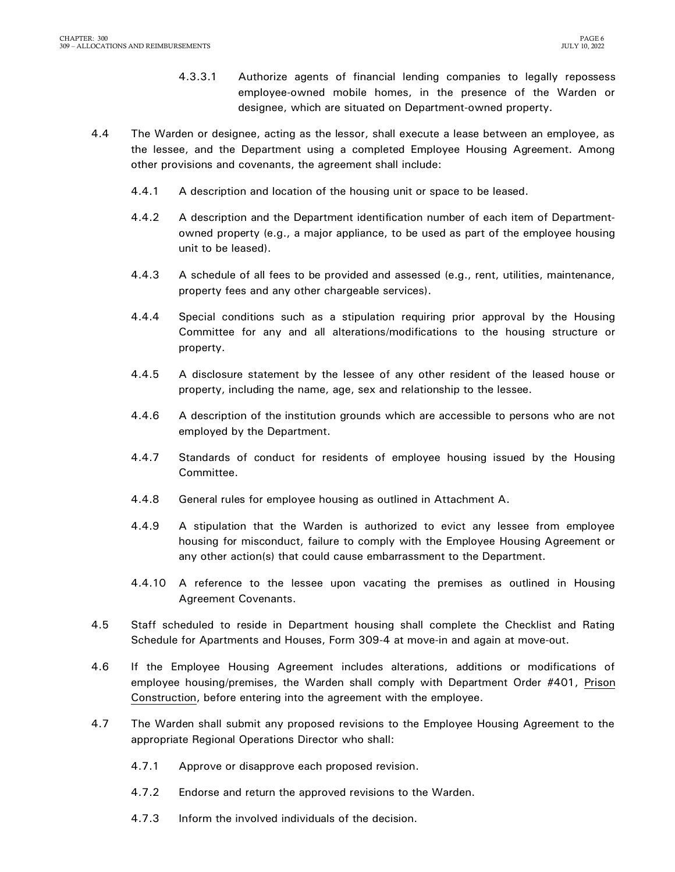- 4.3.3.1 Authorize agents of financial lending companies to legally repossess employee-owned mobile homes, in the presence of the Warden or designee, which are situated on Department-owned property.
- 4.4 The Warden or designee, acting as the lessor, shall execute a lease between an employee, as the lessee, and the Department using a completed Employee Housing Agreement. Among other provisions and covenants, the agreement shall include:
	- 4.4.1 A description and location of the housing unit or space to be leased.
	- 4.4.2 A description and the Department identification number of each item of Departmentowned property (e.g., a major appliance, to be used as part of the employee housing unit to be leased).
	- 4.4.3 A schedule of all fees to be provided and assessed (e.g., rent, utilities, maintenance, property fees and any other chargeable services).
	- 4.4.4 Special conditions such as a stipulation requiring prior approval by the Housing Committee for any and all alterations/modifications to the housing structure or property.
	- 4.4.5 A disclosure statement by the lessee of any other resident of the leased house or property, including the name, age, sex and relationship to the lessee.
	- 4.4.6 A description of the institution grounds which are accessible to persons who are not employed by the Department.
	- 4.4.7 Standards of conduct for residents of employee housing issued by the Housing Committee.
	- 4.4.8 General rules for employee housing as outlined in Attachment A.
	- 4.4.9 A stipulation that the Warden is authorized to evict any lessee from employee housing for misconduct, failure to comply with the Employee Housing Agreement or any other action(s) that could cause embarrassment to the Department.
	- 4.4.10 A reference to the lessee upon vacating the premises as outlined in Housing Agreement Covenants.
- 4.5 Staff scheduled to reside in Department housing shall complete the Checklist and Rating Schedule for Apartments and Houses, Form 309-4 at move-in and again at move-out.
- 4.6 If the Employee Housing Agreement includes alterations, additions or modifications of employee housing/premises, the Warden shall comply with Department Order #401, Prison Construction, before entering into the agreement with the employee.
- 4.7 The Warden shall submit any proposed revisions to the Employee Housing Agreement to the appropriate Regional Operations Director who shall:
	- 4.7.1 Approve or disapprove each proposed revision.
	- 4.7.2 Endorse and return the approved revisions to the Warden.
	- 4.7.3 Inform the involved individuals of the decision.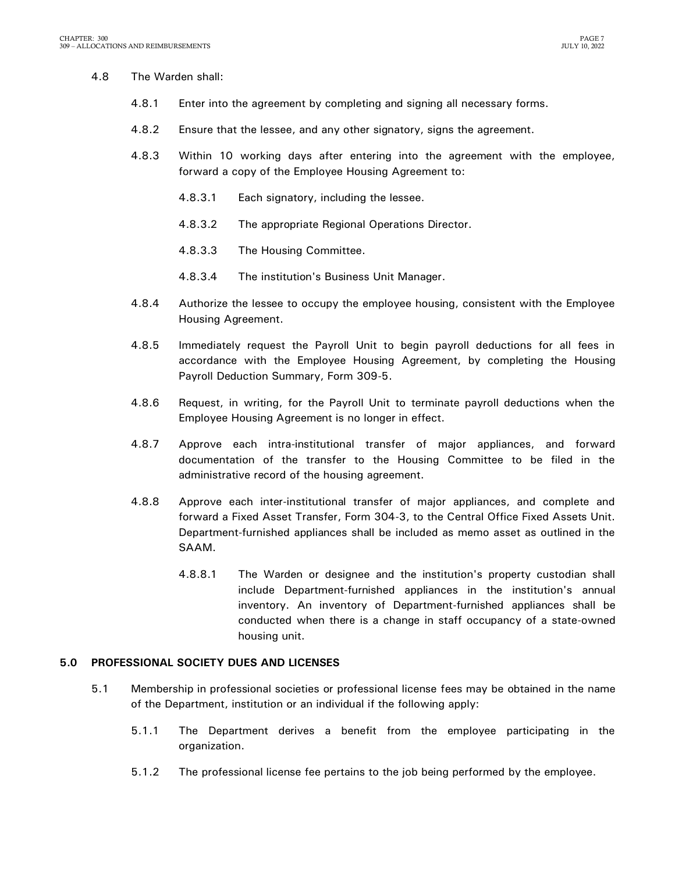### 4.8 The Warden shall:

- 4.8.1 Enter into the agreement by completing and signing all necessary forms.
- 4.8.2 Ensure that the lessee, and any other signatory, signs the agreement.
- 4.8.3 Within 10 working days after entering into the agreement with the employee, forward a copy of the Employee Housing Agreement to:
	- 4.8.3.1 Each signatory, including the lessee.
	- 4.8.3.2 The appropriate Regional Operations Director.
	- 4.8.3.3 The Housing Committee.
	- 4.8.3.4 The institution's Business Unit Manager.
- 4.8.4 Authorize the lessee to occupy the employee housing, consistent with the Employee Housing Agreement.
- 4.8.5 Immediately request the Payroll Unit to begin payroll deductions for all fees in accordance with the Employee Housing Agreement, by completing the Housing Payroll Deduction Summary, Form 309-5.
- 4.8.6 Request, in writing, for the Payroll Unit to terminate payroll deductions when the Employee Housing Agreement is no longer in effect.
- 4.8.7 Approve each intra-institutional transfer of major appliances, and forward documentation of the transfer to the Housing Committee to be filed in the administrative record of the housing agreement.
- 4.8.8 Approve each inter-institutional transfer of major appliances, and complete and forward a Fixed Asset Transfer, Form 304-3, to the Central Office Fixed Assets Unit. Department-furnished appliances shall be included as memo asset as outlined in the SAAM.
	- 4.8.8.1 The Warden or designee and the institution's property custodian shall include Department-furnished appliances in the institution's annual inventory. An inventory of Department-furnished appliances shall be conducted when there is a change in staff occupancy of a state-owned housing unit.

### <span id="page-8-0"></span>**5.0 PROFESSIONAL SOCIETY DUES AND LICENSES**

- 5.1 Membership in professional societies or professional license fees may be obtained in the name of the Department, institution or an individual if the following apply:
	- 5.1.1 The Department derives a benefit from the employee participating in the organization.
	- 5.1.2 The professional license fee pertains to the job being performed by the employee.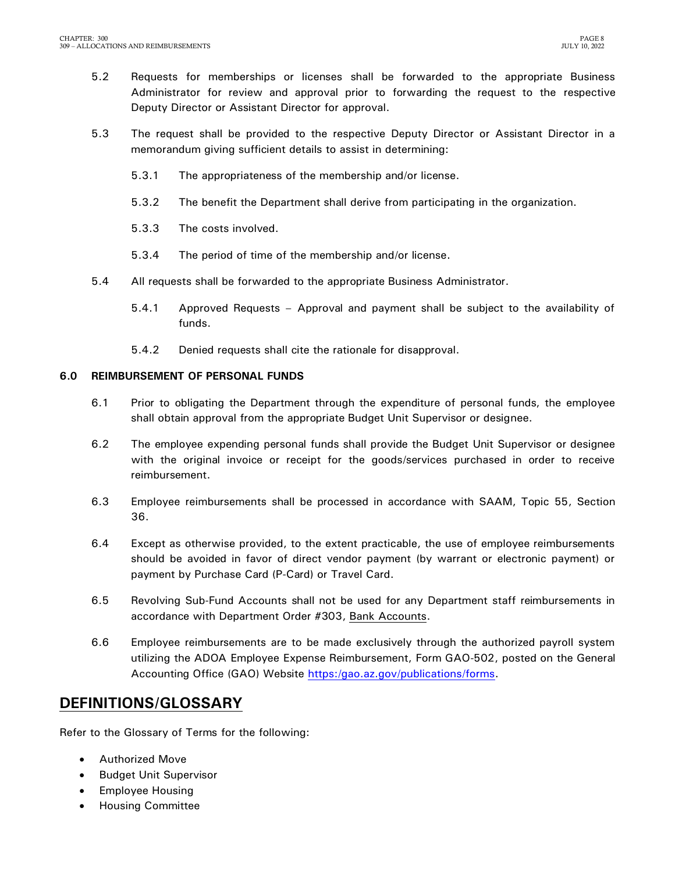- 5.2 Requests for memberships or licenses shall be forwarded to the appropriate Business Administrator for review and approval prior to forwarding the request to the respective Deputy Director or Assistant Director for approval.
- 5.3 The request shall be provided to the respective Deputy Director or Assistant Director in a memorandum giving sufficient details to assist in determining:
	- 5.3.1 The appropriateness of the membership and/or license.
	- 5.3.2 The benefit the Department shall derive from participating in the organization.
	- 5.3.3 The costs involved.
	- 5.3.4 The period of time of the membership and/or license.
- 5.4 All requests shall be forwarded to the appropriate Business Administrator.
	- 5.4.1 Approved Requests Approval and payment shall be subject to the availability of funds.
	- 5.4.2 Denied requests shall cite the rationale for disapproval.

### <span id="page-9-0"></span>**6.0 REIMBURSEMENT OF PERSONAL FUNDS**

- 6.1 Prior to obligating the Department through the expenditure of personal funds, the employee shall obtain approval from the appropriate Budget Unit Supervisor or designee.
- 6.2 The employee expending personal funds shall provide the Budget Unit Supervisor or designee with the original invoice or receipt for the goods/services purchased in order to receive reimbursement.
- 6.3 Employee reimbursements shall be processed in accordance with SAAM, Topic 55, Section 36.
- 6.4 Except as otherwise provided, to the extent practicable, the use of employee reimbursements should be avoided in favor of direct vendor payment (by warrant or electronic payment) or payment by Purchase Card (P-Card) or Travel Card.
- 6.5 Revolving Sub-Fund Accounts shall not be used for any Department staff reimbursements in accordance with Department Order #303, Bank Accounts.
- 6.6 Employee reimbursements are to be made exclusively through the authorized payroll system utilizing the ADOA Employee Expense Reimbursement, Form GAO-502, posted on the General Accounting Office (GAO) Website [https:/gao.az.gov/publications/forms.](https://gao.az.gov/publications/forms)

### <span id="page-9-1"></span>**DEFINITIONS/GLOSSARY**

Refer to the Glossary of Terms for the following:

- Authorized Move
- **•** Budget Unit Supervisor
- Employee Housing
- Housing Committee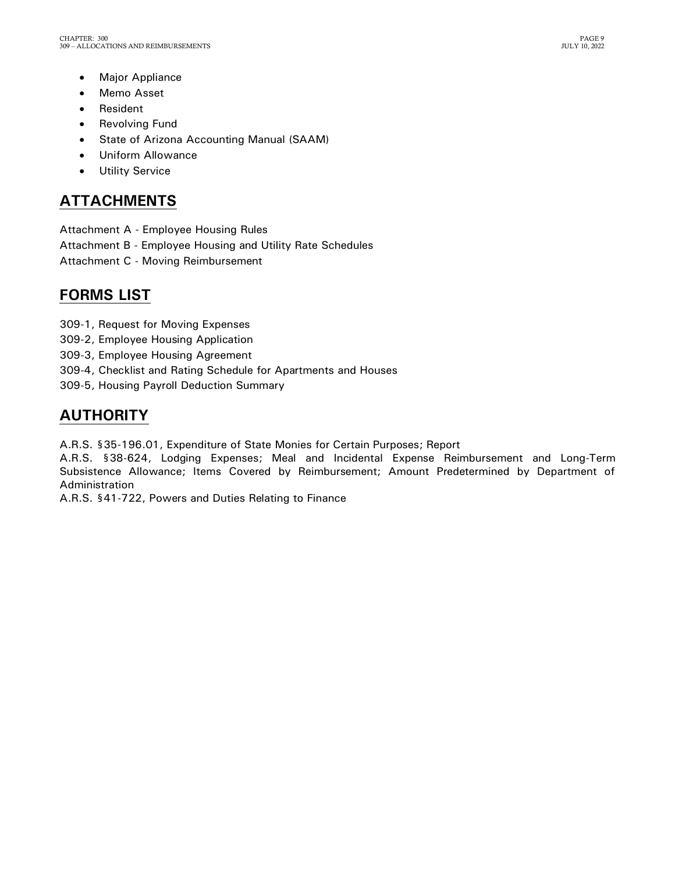- Major Appliance
- Memo Asset
- Resident
- Revolving Fund
- State of Arizona Accounting Manual (SAAM)
- Uniform Allowance
- Utility Service

## <span id="page-10-0"></span>**ATTACHMENTS**

- Attachment A Employee Housing Rules
- Attachment B Employee Housing and Utility Rate Schedules
- Attachment C Moving Reimbursement

## <span id="page-10-1"></span>**FORMS LIST**

- 309-1, Request for Moving Expenses
- 309-2, Employee Housing Application
- 309-3, Employee Housing Agreement
- 309-4, Checklist and Rating Schedule for Apartments and Houses
- 309-5, Housing Payroll Deduction Summary

## <span id="page-10-2"></span>**AUTHORITY**

A.R.S. §35-196.01, Expenditure of State Monies for Certain Purposes; Report

A.R.S. §38-624, Lodging Expenses; Meal and Incidental Expense Reimbursement and Long-Term Subsistence Allowance; Items Covered by Reimbursement; Amount Predetermined by Department of Administration

A.R.S. §41-722, Powers and Duties Relating to Finance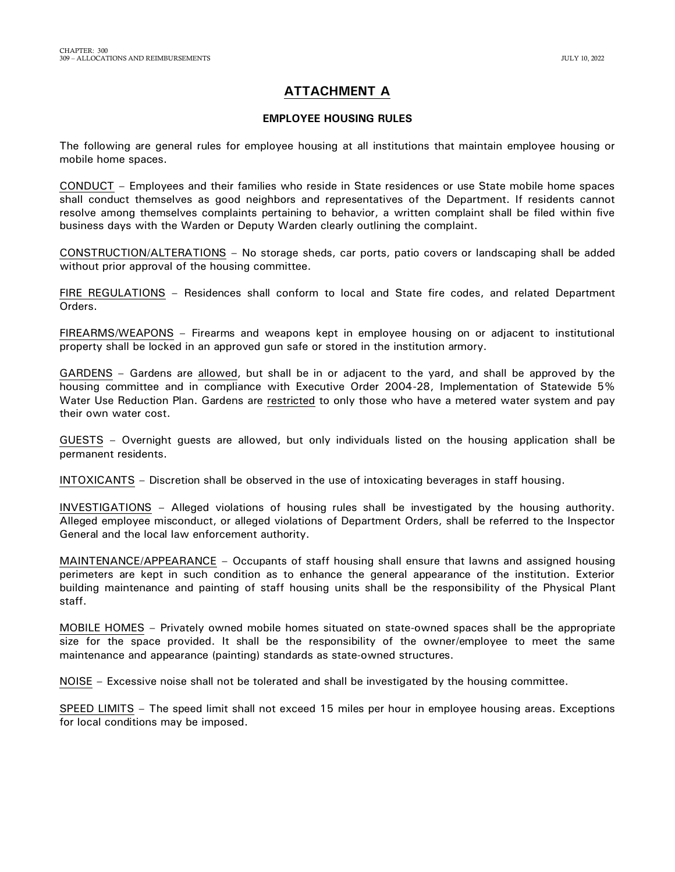### **ATTACHMENT A**

#### **EMPLOYEE HOUSING RULES**

The following are general rules for employee housing at all institutions that maintain employee housing or mobile home spaces.

CONDUCT – Employees and their families who reside in State residences or use State mobile home spaces shall conduct themselves as good neighbors and representatives of the Department. If residents cannot resolve among themselves complaints pertaining to behavior, a written complaint shall be filed within five business days with the Warden or Deputy Warden clearly outlining the complaint.

CONSTRUCTION/ALTERATIONS – No storage sheds, car ports, patio covers or landscaping shall be added without prior approval of the housing committee.

FIRE REGULATIONS – Residences shall conform to local and State fire codes, and related Department Orders.

FIREARMS/WEAPONS – Firearms and weapons kept in employee housing on or adjacent to institutional property shall be locked in an approved gun safe or stored in the institution armory.

GARDENS – Gardens are allowed, but shall be in or adjacent to the yard, and shall be approved by the housing committee and in compliance with Executive Order 2004-28, Implementation of Statewide 5% Water Use Reduction Plan. Gardens are restricted to only those who have a metered water system and pay their own water cost.

GUESTS – Overnight guests are allowed, but only individuals listed on the housing application shall be permanent residents.

INTOXICANTS – Discretion shall be observed in the use of intoxicating beverages in staff housing.

INVESTIGATIONS – Alleged violations of housing rules shall be investigated by the housing authority. Alleged employee misconduct, or alleged violations of Department Orders, shall be referred to the Inspector General and the local law enforcement authority.

MAINTENANCE/APPEARANCE – Occupants of staff housing shall ensure that lawns and assigned housing perimeters are kept in such condition as to enhance the general appearance of the institution. Exterior building maintenance and painting of staff housing units shall be the responsibility of the Physical Plant staff.

MOBILE HOMES – Privately owned mobile homes situated on state-owned spaces shall be the appropriate size for the space provided. It shall be the responsibility of the owner/employee to meet the same maintenance and appearance (painting) standards as state-owned structures.

NOISE – Excessive noise shall not be tolerated and shall be investigated by the housing committee.

SPEED LIMITS – The speed limit shall not exceed 15 miles per hour in employee housing areas. Exceptions for local conditions may be imposed.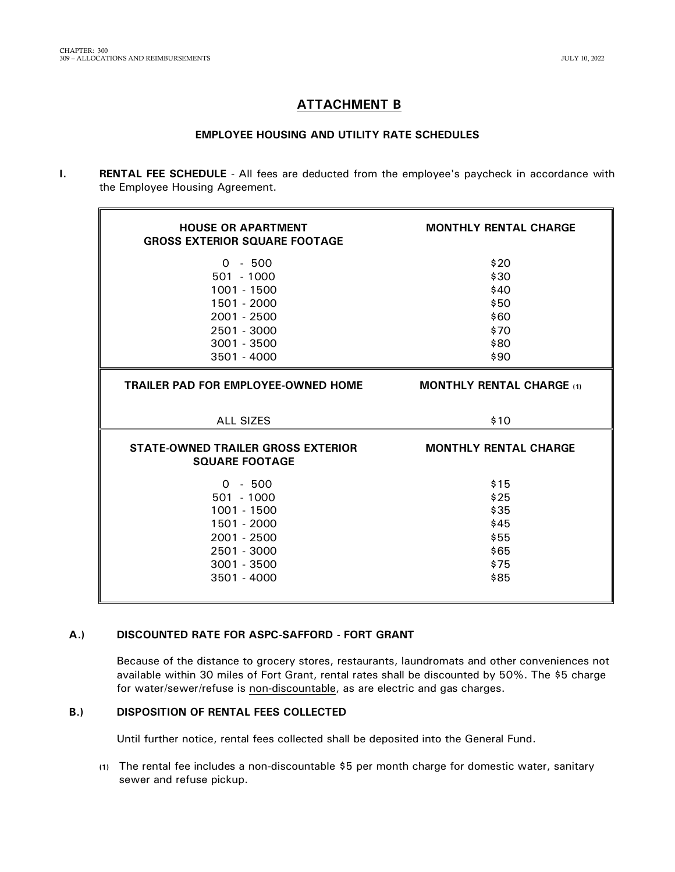### **ATTACHMENT B**

### **EMPLOYEE HOUSING AND UTILITY RATE SCHEDULES**

**I. RENTAL FEE SCHEDULE** - All fees are deducted from the employee's paycheck in accordance with the Employee Housing Agreement.

| <b>HOUSE OR APARTMENT</b><br><b>GROSS EXTERIOR SQUARE FOOTAGE</b>                                        | <b>MONTHLY RENTAL CHARGE</b>                         |  |  |  |
|----------------------------------------------------------------------------------------------------------|------------------------------------------------------|--|--|--|
| $0 - 500$<br>$501 - 1000$<br>1001 - 1500<br>1501 - 2000<br>2001 - 2500<br>2501 - 3000<br>$3001 - 3500$   | \$20<br>\$30<br>\$40<br>\$50<br>\$60<br>\$70<br>\$80 |  |  |  |
| 3501 - 4000                                                                                              | \$90                                                 |  |  |  |
| <b>TRAILER PAD FOR EMPLOYEE-OWNED HOME</b>                                                               | <b>MONTHLY RENTAL CHARGE</b> (1)                     |  |  |  |
| <b>ALL SIZES</b>                                                                                         | \$10                                                 |  |  |  |
| STATE-OWNED TRAILER GROSS EXTERIOR<br><b>SQUARE FOOTAGE</b>                                              | <b>MONTHLY RENTAL CHARGE</b>                         |  |  |  |
| $0 - 500$<br>$501 - 1000$<br>1001 - 1500<br>1501 - 2000<br>$2001 - 2500$<br>2501 - 3000<br>$3001 - 3500$ | \$15<br>\$25<br>\$35<br>\$45<br>\$55<br>\$65         |  |  |  |

#### **A.) DISCOUNTED RATE FOR ASPC-SAFFORD - FORT GRANT**

Because of the distance to grocery stores, restaurants, laundromats and other conveniences not available within 30 miles of Fort Grant, rental rates shall be discounted by 50%. The \$5 charge for water/sewer/refuse is non-discountable, as are electric and gas charges.

#### **B.) DISPOSITION OF RENTAL FEES COLLECTED**

Until further notice, rental fees collected shall be deposited into the General Fund.

**(1)** The rental fee includes a non-discountable \$5 per month charge for domestic water, sanitary sewer and refuse pickup.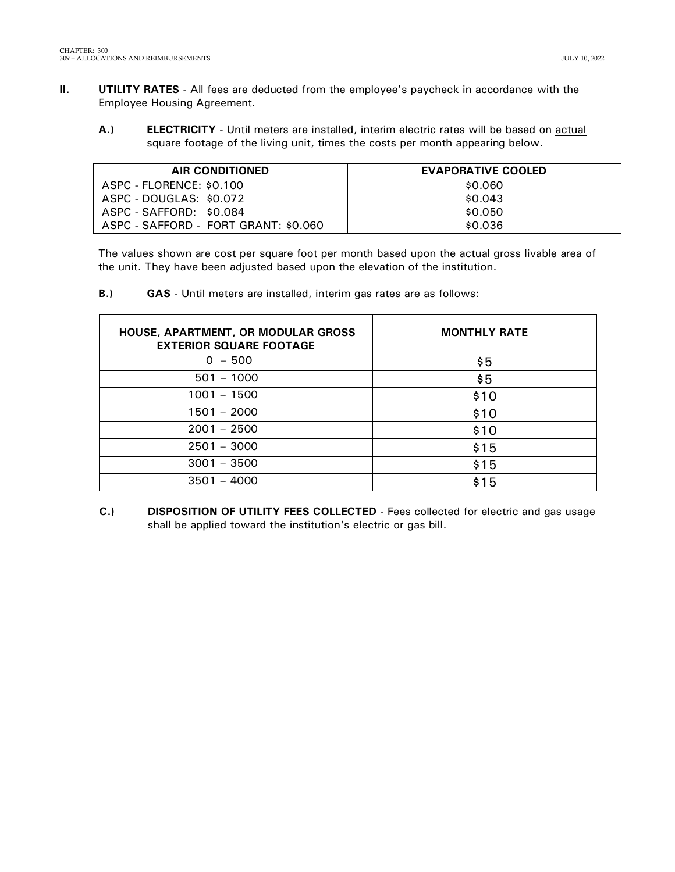- **II. UTILITY RATES** All fees are deducted from the employee's paycheck in accordance with the Employee Housing Agreement.
	- **A.) ELECTRICITY** Until meters are installed, interim electric rates will be based on actual square footage of the living unit, times the costs per month appearing below.

| <b>AIR CONDITIONED</b>               | <b>EVAPORATIVE COOLED</b> |
|--------------------------------------|---------------------------|
| ASPC - FLORENCE: \$0.100             | \$0.060                   |
| ASPC - DOUGLAS: \$0.072              | \$0.043                   |
| ASPC - SAFFORD: \$0.084              | \$0.050                   |
| ASPC - SAFFORD - FORT GRANT: \$0.060 | \$0.036                   |

The values shown are cost per square foot per month based upon the actual gross livable area of the unit. They have been adjusted based upon the elevation of the institution.

**B.) GAS** - Until meters are installed, interim gas rates are as follows:

| <b>HOUSE, APARTMENT, OR MODULAR GROSS</b><br><b>EXTERIOR SQUARE FOOTAGE</b> | <b>MONTHLY RATE</b> |
|-----------------------------------------------------------------------------|---------------------|
| $0 - 500$                                                                   | \$5                 |
| $501 - 1000$                                                                | \$5                 |
| $1001 - 1500$                                                               | \$10                |
| $1501 - 2000$                                                               | \$10                |
| $2001 - 2500$                                                               | \$10                |
| $2501 - 3000$                                                               | \$15                |
| $3001 - 3500$                                                               | \$15                |
| $3501 - 4000$                                                               | \$15                |

**C.) DISPOSITION OF UTILITY FEES COLLECTED** - Fees collected for electric and gas usage shall be applied toward the institution's electric or gas bill.